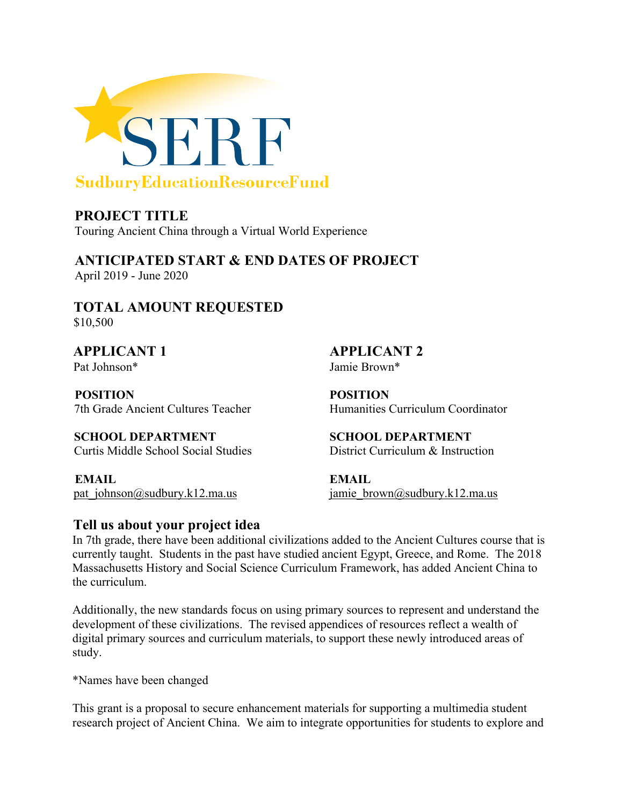

**PROJECT TITLE** Touring Ancient China through a Virtual World Experience

**ANTICIPATED START & END DATES OF PROJECT**  April 2019 - June 2020

**TOTAL AMOUNT REQUESTED** \$10,500

Pat Johnson\* Jamie Brown\*

**POSITION POSITION** 

**SCHOOL DEPARTMENT SCHOOL DEPARTMENT**  Curtis Middle School Social Studies District Curriculum & Instruction

**EMAIL EMAIL** 

**APPLICANT 1 APPLICANT 2** 

7th Grade Ancient Cultures Teacher Humanities Curriculum Coordinator

[pat\\_johnson@sudbury.k12.ma.us](mailto:pat_brown@sudbury.k12.ma.us) [jamie\\_brown@sudbury.k12.ma.us](mailto:jamie_smith@sudbury.k12.ma.us)

## **Tell us about your project idea**

In 7th grade, there have been additional civilizations added to the Ancient Cultures course that is currently taught. Students in the past have studied ancient Egypt, Greece, and Rome. The 2018 Massachusetts History and Social Science Curriculum Framework, has added Ancient China to the curriculum.

Additionally, the new standards focus on using primary sources to represent and understand the development of these civilizations. The revised appendices of resources reflect a wealth of digital primary sources and curriculum materials, to support these newly introduced areas of study.

\*Names have been changed

This grant is a proposal to secure enhancement materials for supporting a multimedia student research project of Ancient China. We aim to integrate opportunities for students to explore and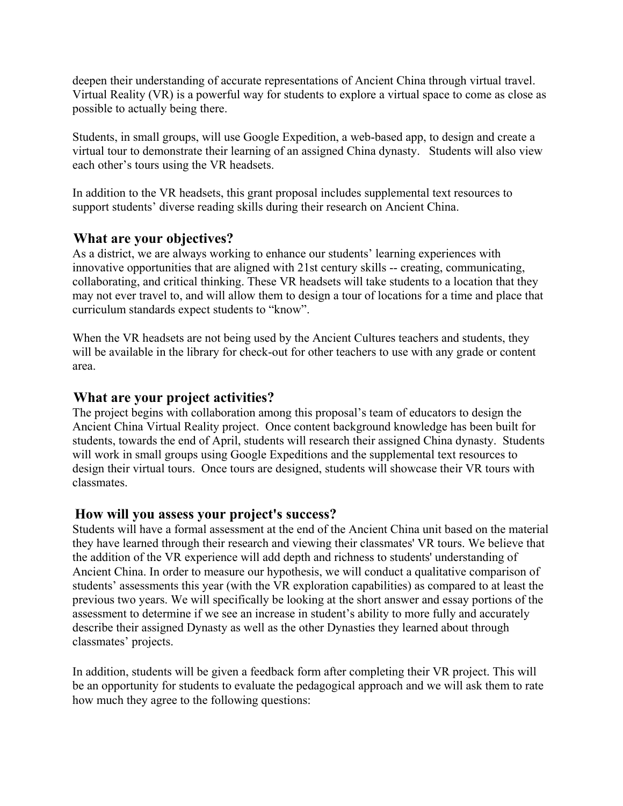deepen their understanding of accurate representations of Ancient China through virtual travel. Virtual Reality (VR) is a powerful way for students to explore a virtual space to come as close as possible to actually being there.

Students, in small groups, will use Google Expedition, a web-based app, to design and create a virtual tour to demonstrate their learning of an assigned China dynasty. Students will also view each other's tours using the VR headsets.

In addition to the VR headsets, this grant proposal includes supplemental text resources to support students' diverse reading skills during their research on Ancient China.

### **What are your objectives?**

As a district, we are always working to enhance our students' learning experiences with innovative opportunities that are aligned with 21st century skills -- creating, communicating, collaborating, and critical thinking. These VR headsets will take students to a location that they may not ever travel to, and will allow them to design a tour of locations for a time and place that curriculum standards expect students to "know".

When the VR headsets are not being used by the Ancient Cultures teachers and students, they will be available in the library for check-out for other teachers to use with any grade or content area.

#### **What are your project activities?**

The project begins with collaboration among this proposal's team of educators to design the Ancient China Virtual Reality project. Once content background knowledge has been built for students, towards the end of April, students will research their assigned China dynasty. Students will work in small groups using Google Expeditions and the supplemental text resources to design their virtual tours. Once tours are designed, students will showcase their VR tours with classmates.

#### **How will you assess your project's success?**

Students will have a formal assessment at the end of the Ancient China unit based on the material they have learned through their research and viewing their classmates' VR tours. We believe that the addition of the VR experience will add depth and richness to students' understanding of Ancient China. In order to measure our hypothesis, we will conduct a qualitative comparison of students' assessments this year (with the VR exploration capabilities) as compared to at least the previous two years. We will specifically be looking at the short answer and essay portions of the assessment to determine if we see an increase in student's ability to more fully and accurately describe their assigned Dynasty as well as the other Dynasties they learned about through classmates' projects.

In addition, students will be given a feedback form after completing their VR project. This will be an opportunity for students to evaluate the pedagogical approach and we will ask them to rate how much they agree to the following questions: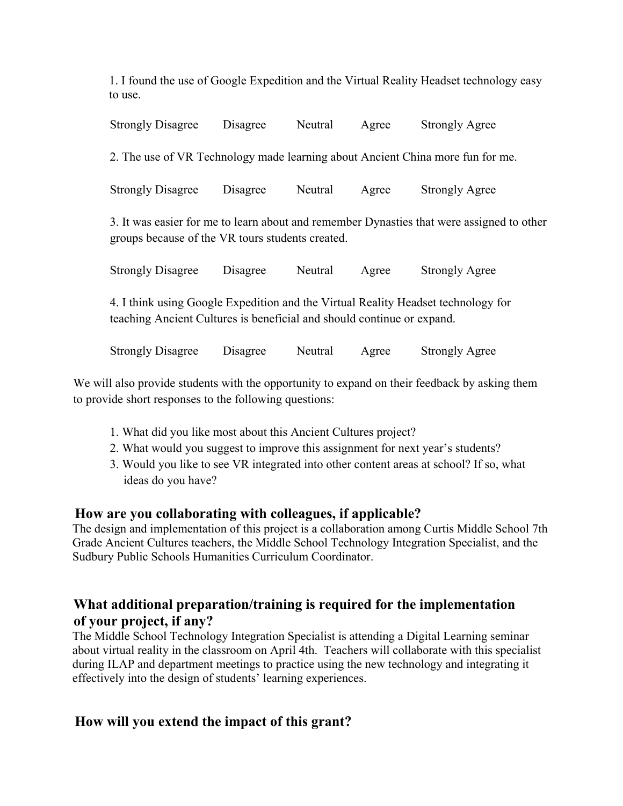1. I found the use of Google Expedition and the Virtual Reality Headset technology easy to use.

| <b>Strongly Disagree</b>                                                                                                                                    | Disagree | Neutral | Agree | <b>Strongly Agree</b> |  |  |
|-------------------------------------------------------------------------------------------------------------------------------------------------------------|----------|---------|-------|-----------------------|--|--|
| 2. The use of VR Technology made learning about Ancient China more fun for me.                                                                              |          |         |       |                       |  |  |
| <b>Strongly Disagree</b>                                                                                                                                    | Disagree | Neutral | Agree | <b>Strongly Agree</b> |  |  |
| 3. It was easier for me to learn about and remember Dynasties that were assigned to other<br>groups because of the VR tours students created.               |          |         |       |                       |  |  |
| <b>Strongly Disagree</b>                                                                                                                                    | Disagree | Neutral | Agree | <b>Strongly Agree</b> |  |  |
| 4. I think using Google Expedition and the Virtual Reality Headset technology for<br>teaching Ancient Cultures is beneficial and should continue or expand. |          |         |       |                       |  |  |
| <b>Strongly Disagree</b>                                                                                                                                    | Disagree | Neutral | Agree | Strongly Agree        |  |  |

We will also provide students with the opportunity to expand on their feedback by asking them to provide short responses to the following questions:

- 1. What did you like most about this Ancient Cultures project?
- 2. What would you suggest to improve this assignment for next year's students?
- 3. Would you like to see VR integrated into other content areas at school? If so, what ideas do you have?

## **How are you collaborating with colleagues, if applicable?**

The design and implementation of this project is a collaboration among Curtis Middle School 7th Grade Ancient Cultures teachers, the Middle School Technology Integration Specialist, and the Sudbury Public Schools Humanities Curriculum Coordinator.

# **What additional preparation/training is required for the implementation of your project, if any?**

The Middle School Technology Integration Specialist is attending a Digital Learning seminar about virtual reality in the classroom on April 4th. Teachers will collaborate with this specialist during ILAP and department meetings to practice using the new technology and integrating it effectively into the design of students' learning experiences.

## **How will you extend the impact of this grant?**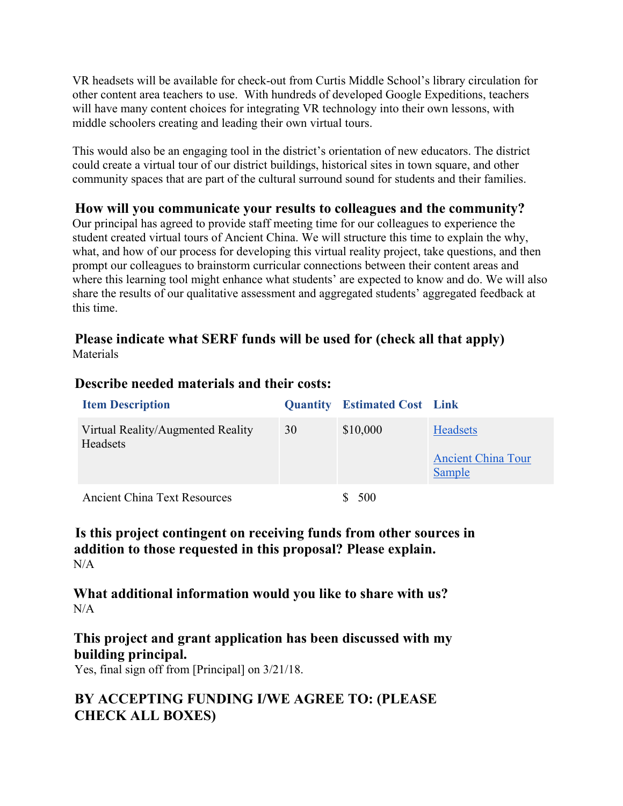VR headsets will be available for check-out from Curtis Middle School's library circulation for other content area teachers to use. With hundreds of developed Google Expeditions, teachers will have many content choices for integrating VR technology into their own lessons, with middle schoolers creating and leading their own virtual tours.

This would also be an engaging tool in the district's orientation of new educators. The district could create a virtual tour of our district buildings, historical sites in town square, and other community spaces that are part of the cultural surround sound for students and their families.

### **How will you communicate your results to colleagues and the community?**

Our principal has agreed to provide staff meeting time for our colleagues to experience the student created virtual tours of Ancient China. We will structure this time to explain the why, what, and how of our process for developing this virtual reality project, take questions, and then prompt our colleagues to brainstorm curricular connections between their content areas and where this learning tool might enhance what students' are expected to know and do. We will also share the results of our qualitative assessment and aggregated students' aggregated feedback at this time.

#### **Please indicate what SERF funds will be used for (check all that apply)** Materials

| <b>Item Description</b>                              |    | <b>Quantity</b> Estimated Cost Link |                                                        |
|------------------------------------------------------|----|-------------------------------------|--------------------------------------------------------|
| Virtual Reality/Augmented Reality<br><b>Headsets</b> | 30 | \$10,000                            | <b>Headsets</b><br><b>Ancient China Tour</b><br>Sample |
| Ancient China Text Resources                         |    | 500                                 |                                                        |

#### **Describe needed materials and their costs:**

**Is this project contingent on receiving funds from other sources in addition to those requested in this proposal? Please explain.**  $N/A$ 

**What additional information would you like to share with us?**  $N/A$ 

**This project and grant application has been discussed with my building principal.**

Yes, final sign off from [Principal] on 3/21/18.

# **BY ACCEPTING FUNDING I/WE AGREE TO: (PLEASE CHECK ALL BOXES)**